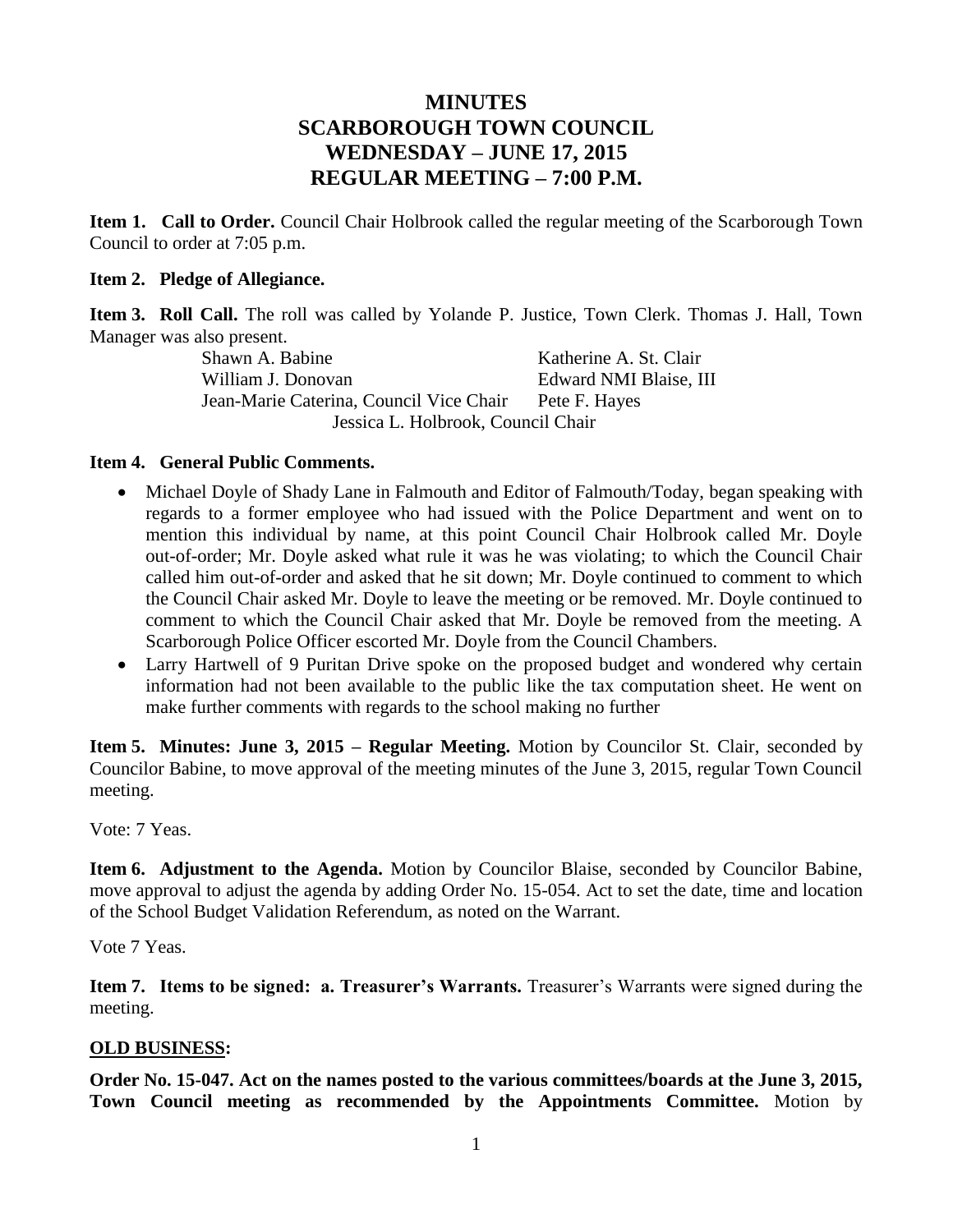# **MINUTES SCARBOROUGH TOWN COUNCIL WEDNESDAY – JUNE 17, 2015 REGULAR MEETING – 7:00 P.M.**

**Item 1. Call to Order.** Council Chair Holbrook called the regular meeting of the Scarborough Town Council to order at 7:05 p.m.

### **Item 2. Pledge of Allegiance.**

**Item 3. Roll Call.** The roll was called by Yolande P. Justice, Town Clerk. Thomas J. Hall, Town Manager was also present.

Shawn A. Babine Katherine A. St. Clair William J. Donovan **Edward NMI Blaise**, III Jean-Marie Caterina, Council Vice Chair Pete F. Hayes Jessica L. Holbrook, Council Chair

### **Item 4. General Public Comments.**

- Michael Doyle of Shady Lane in Falmouth and Editor of Falmouth/Today, began speaking with regards to a former employee who had issued with the Police Department and went on to mention this individual by name, at this point Council Chair Holbrook called Mr. Doyle out-of-order; Mr. Doyle asked what rule it was he was violating; to which the Council Chair called him out-of-order and asked that he sit down; Mr. Doyle continued to comment to which the Council Chair asked Mr. Doyle to leave the meeting or be removed. Mr. Doyle continued to comment to which the Council Chair asked that Mr. Doyle be removed from the meeting. A Scarborough Police Officer escorted Mr. Doyle from the Council Chambers.
- Larry Hartwell of 9 Puritan Drive spoke on the proposed budget and wondered why certain information had not been available to the public like the tax computation sheet. He went on make further comments with regards to the school making no further

**Item 5. Minutes: June 3, 2015 – Regular Meeting.** Motion by Councilor St. Clair, seconded by Councilor Babine, to move approval of the meeting minutes of the June 3, 2015, regular Town Council meeting.

Vote: 7 Yeas.

**Item 6. Adjustment to the Agenda.** Motion by Councilor Blaise, seconded by Councilor Babine, move approval to adjust the agenda by adding Order No. 15-054. Act to set the date, time and location of the School Budget Validation Referendum, as noted on the Warrant.

Vote 7 Yeas.

**Item 7. Items to be signed: a. Treasurer's Warrants.** Treasurer's Warrants were signed during the meeting.

# **OLD BUSINESS:**

**Order No. 15-047. Act on the names posted to the various committees/boards at the June 3, 2015, Town Council meeting as recommended by the Appointments Committee.** Motion by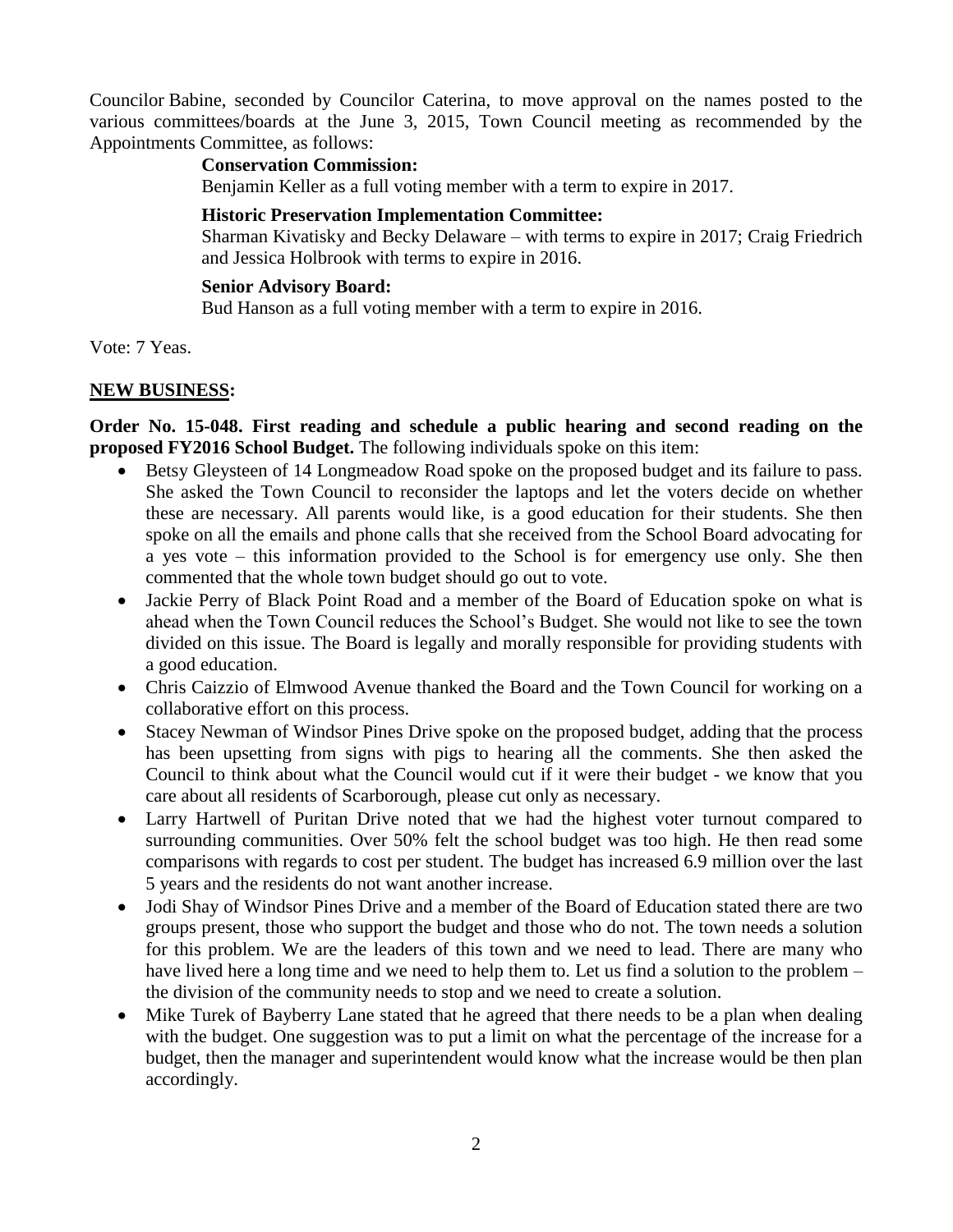Councilor Babine, seconded by Councilor Caterina, to move approval on the names posted to the various committees/boards at the June 3, 2015, Town Council meeting as recommended by the Appointments Committee, as follows:

### **Conservation Commission:**

Benjamin Keller as a full voting member with a term to expire in 2017.

### **Historic Preservation Implementation Committee:**

Sharman Kivatisky and Becky Delaware – with terms to expire in 2017; Craig Friedrich and Jessica Holbrook with terms to expire in 2016.

### **Senior Advisory Board:**

Bud Hanson as a full voting member with a term to expire in 2016.

Vote: 7 Yeas.

### **NEW BUSINESS:**

**Order No. 15-048. First reading and schedule a public hearing and second reading on the proposed FY2016 School Budget.** The following individuals spoke on this item:

- Betsy Gleysteen of 14 Longmeadow Road spoke on the proposed budget and its failure to pass. She asked the Town Council to reconsider the laptops and let the voters decide on whether these are necessary. All parents would like, is a good education for their students. She then spoke on all the emails and phone calls that she received from the School Board advocating for a yes vote – this information provided to the School is for emergency use only. She then commented that the whole town budget should go out to vote.
- Jackie Perry of Black Point Road and a member of the Board of Education spoke on what is ahead when the Town Council reduces the School's Budget. She would not like to see the town divided on this issue. The Board is legally and morally responsible for providing students with a good education.
- Chris Caizzio of Elmwood Avenue thanked the Board and the Town Council for working on a collaborative effort on this process.
- Stacey Newman of Windsor Pines Drive spoke on the proposed budget, adding that the process has been upsetting from signs with pigs to hearing all the comments. She then asked the Council to think about what the Council would cut if it were their budget - we know that you care about all residents of Scarborough, please cut only as necessary.
- Larry Hartwell of Puritan Drive noted that we had the highest voter turnout compared to surrounding communities. Over 50% felt the school budget was too high. He then read some comparisons with regards to cost per student. The budget has increased 6.9 million over the last 5 years and the residents do not want another increase.
- Jodi Shay of Windsor Pines Drive and a member of the Board of Education stated there are two groups present, those who support the budget and those who do not. The town needs a solution for this problem. We are the leaders of this town and we need to lead. There are many who have lived here a long time and we need to help them to. Let us find a solution to the problem – the division of the community needs to stop and we need to create a solution.
- Mike Turek of Bayberry Lane stated that he agreed that there needs to be a plan when dealing with the budget. One suggestion was to put a limit on what the percentage of the increase for a budget, then the manager and superintendent would know what the increase would be then plan accordingly.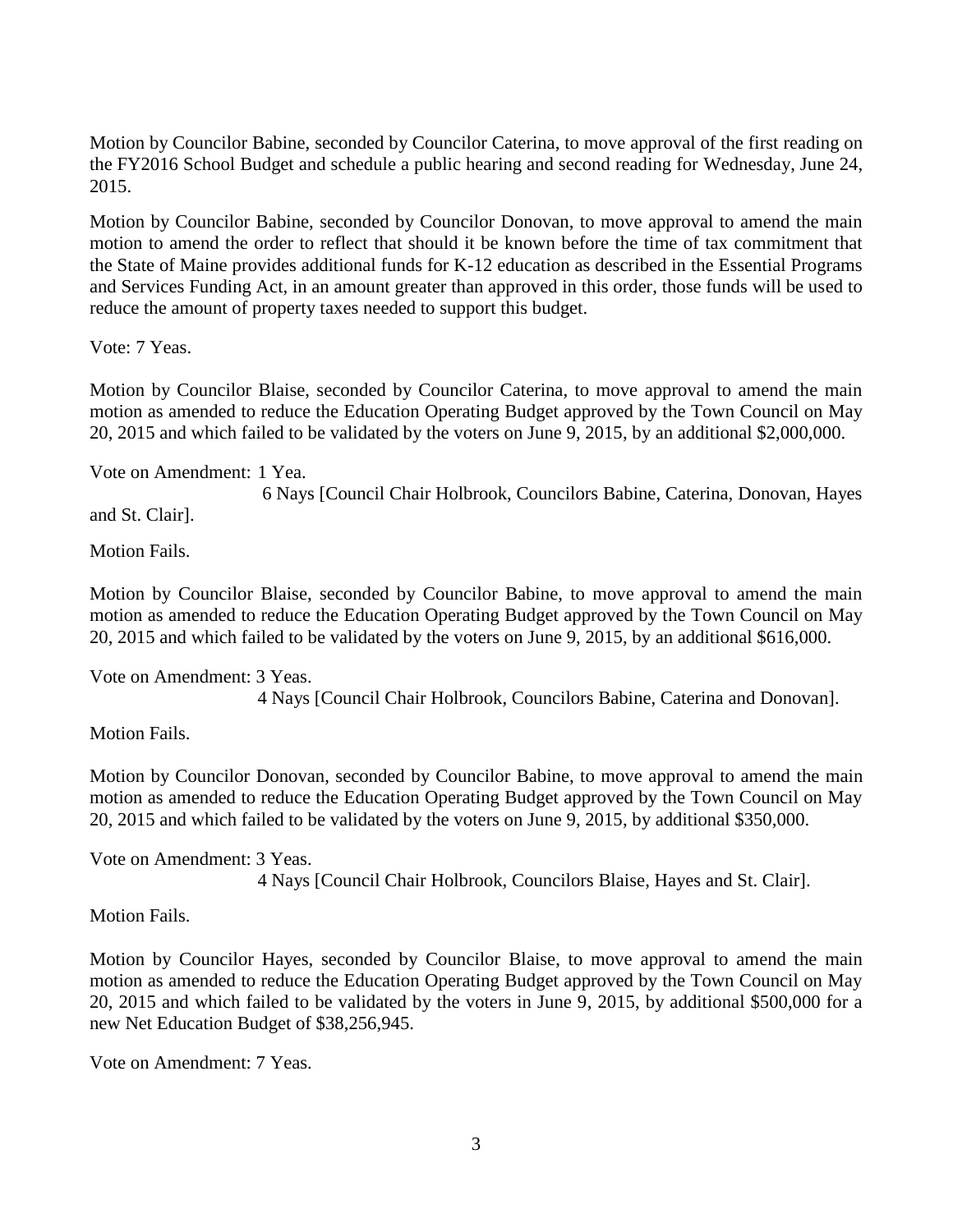Motion by Councilor Babine, seconded by Councilor Caterina, to move approval of the first reading on the FY2016 School Budget and schedule a public hearing and second reading for Wednesday, June 24, 2015.

Motion by Councilor Babine, seconded by Councilor Donovan, to move approval to amend the main motion to amend the order to reflect that should it be known before the time of tax commitment that the State of Maine provides additional funds for K-12 education as described in the Essential Programs and Services Funding Act, in an amount greater than approved in this order, those funds will be used to reduce the amount of property taxes needed to support this budget.

Vote: 7 Yeas.

Motion by Councilor Blaise, seconded by Councilor Caterina, to move approval to amend the main motion as amended to reduce the Education Operating Budget approved by the Town Council on May 20, 2015 and which failed to be validated by the voters on June 9, 2015, by an additional \$2,000,000.

Vote on Amendment: 1 Yea.

6 Nays [Council Chair Holbrook, Councilors Babine, Caterina, Donovan, Hayes

and St. Clair].

Motion Fails.

Motion by Councilor Blaise, seconded by Councilor Babine, to move approval to amend the main motion as amended to reduce the Education Operating Budget approved by the Town Council on May 20, 2015 and which failed to be validated by the voters on June 9, 2015, by an additional \$616,000.

Vote on Amendment: 3 Yeas. 4 Nays [Council Chair Holbrook, Councilors Babine, Caterina and Donovan].

Motion Fails.

Motion by Councilor Donovan, seconded by Councilor Babine, to move approval to amend the main motion as amended to reduce the Education Operating Budget approved by the Town Council on May 20, 2015 and which failed to be validated by the voters on June 9, 2015, by additional \$350,000.

Vote on Amendment: 3 Yeas.

4 Nays [Council Chair Holbrook, Councilors Blaise, Hayes and St. Clair].

Motion Fails.

Motion by Councilor Hayes, seconded by Councilor Blaise, to move approval to amend the main motion as amended to reduce the Education Operating Budget approved by the Town Council on May 20, 2015 and which failed to be validated by the voters in June 9, 2015, by additional \$500,000 for a new Net Education Budget of \$38,256,945.

Vote on Amendment: 7 Yeas.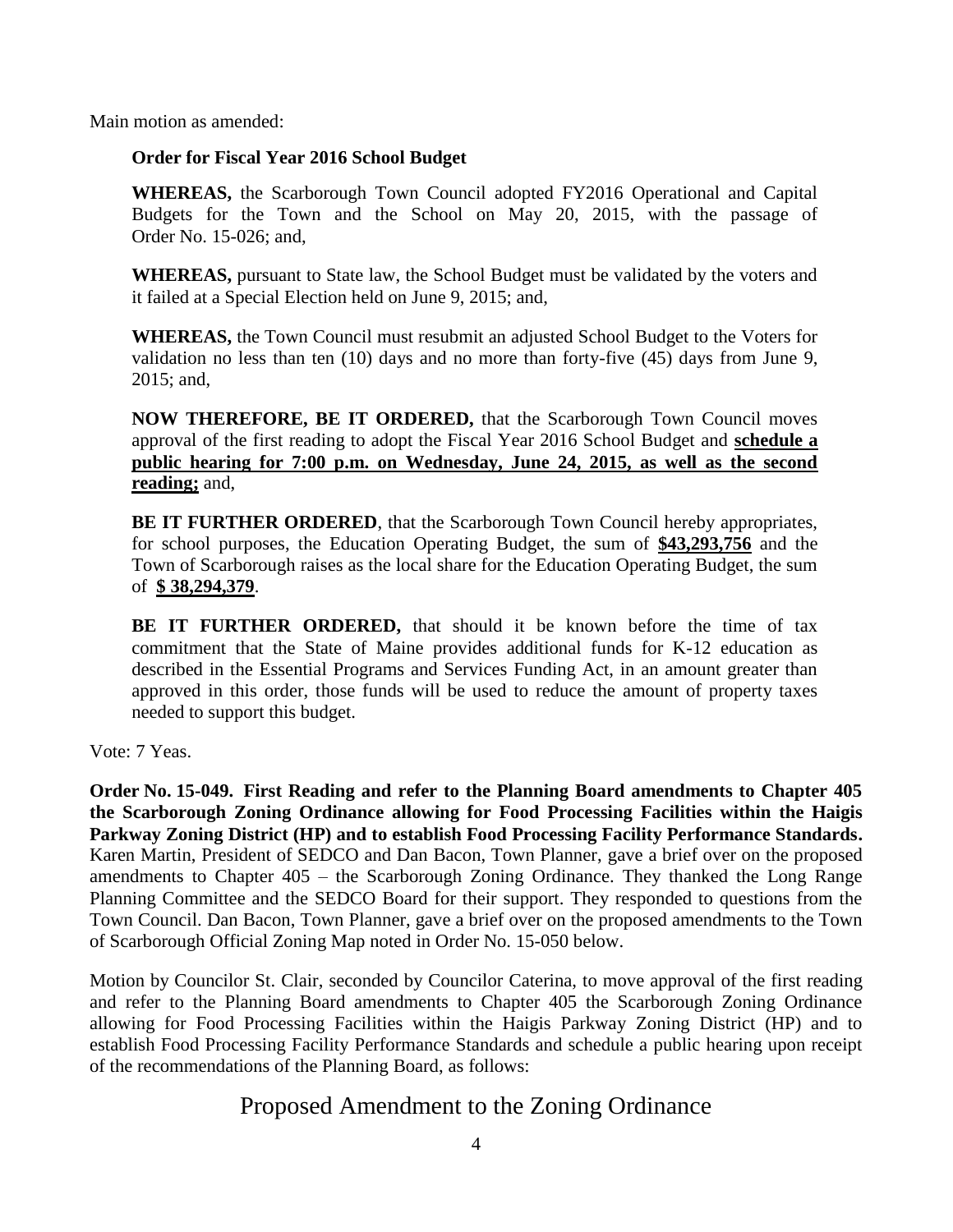Main motion as amended:

### **Order for Fiscal Year 2016 School Budget**

**WHEREAS,** the Scarborough Town Council adopted FY2016 Operational and Capital Budgets for the Town and the School on May 20, 2015, with the passage of Order No. 15-026; and,

**WHEREAS,** pursuant to State law, the School Budget must be validated by the voters and it failed at a Special Election held on June 9, 2015; and,

**WHEREAS,** the Town Council must resubmit an adjusted School Budget to the Voters for validation no less than ten (10) days and no more than forty-five (45) days from June 9, 2015; and,

**NOW THEREFORE, BE IT ORDERED,** that the Scarborough Town Council moves approval of the first reading to adopt the Fiscal Year 2016 School Budget and **schedule a public hearing for 7:00 p.m. on Wednesday, June 24, 2015, as well as the second reading;** and,

**BE IT FURTHER ORDERED, that the Scarborough Town Council hereby appropriates,** for school purposes, the Education Operating Budget, the sum of **\$43,293,756** and the Town of Scarborough raises as the local share for the Education Operating Budget, the sum of **\$ 38,294,379**.

**BE IT FURTHER ORDERED,** that should it be known before the time of tax commitment that the State of Maine provides additional funds for K-12 education as described in the Essential Programs and Services Funding Act, in an amount greater than approved in this order, those funds will be used to reduce the amount of property taxes needed to support this budget.

Vote: 7 Yeas.

**Order No. 15-049. First Reading and refer to the Planning Board amendments to Chapter 405 the Scarborough Zoning Ordinance allowing for Food Processing Facilities within the Haigis Parkway Zoning District (HP) and to establish Food Processing Facility Performance Standards.** Karen Martin, President of SEDCO and Dan Bacon, Town Planner, gave a brief over on the proposed amendments to Chapter 405 – the Scarborough Zoning Ordinance. They thanked the Long Range Planning Committee and the SEDCO Board for their support. They responded to questions from the Town Council. Dan Bacon, Town Planner, gave a brief over on the proposed amendments to the Town of Scarborough Official Zoning Map noted in Order No. 15-050 below.

Motion by Councilor St. Clair, seconded by Councilor Caterina, to move approval of the first reading and refer to the Planning Board amendments to Chapter 405 the Scarborough Zoning Ordinance allowing for Food Processing Facilities within the Haigis Parkway Zoning District (HP) and to establish Food Processing Facility Performance Standards and schedule a public hearing upon receipt of the recommendations of the Planning Board, as follows:

# Proposed Amendment to the Zoning Ordinance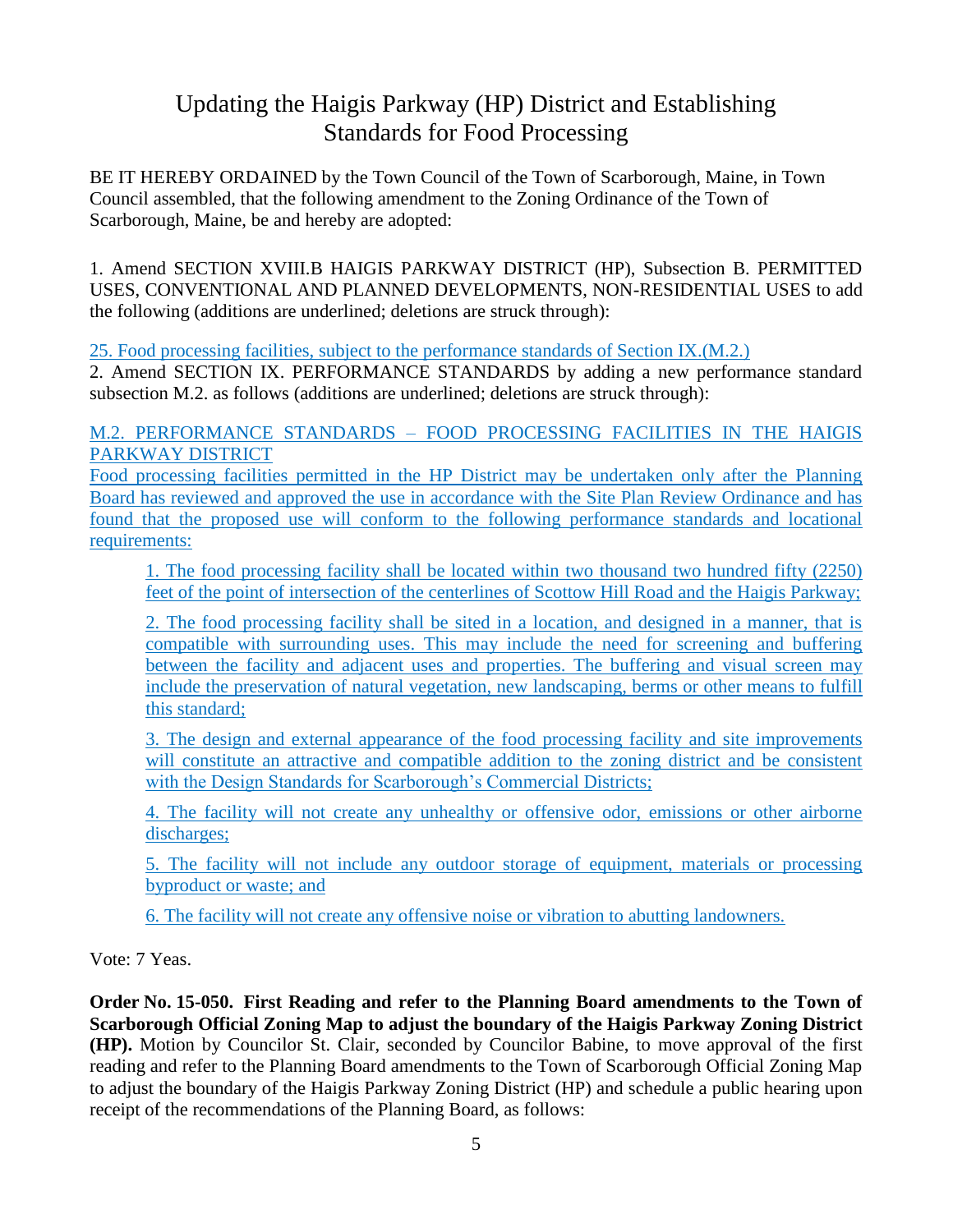# Updating the Haigis Parkway (HP) District and Establishing Standards for Food Processing

BE IT HEREBY ORDAINED by the Town Council of the Town of Scarborough, Maine, in Town Council assembled, that the following amendment to the Zoning Ordinance of the Town of Scarborough, Maine, be and hereby are adopted:

1. Amend SECTION XVIII.B HAIGIS PARKWAY DISTRICT (HP), Subsection B. PERMITTED USES, CONVENTIONAL AND PLANNED DEVELOPMENTS, NON-RESIDENTIAL USES to add the following (additions are underlined; deletions are struck through):

25. Food processing facilities, subject to the performance standards of Section IX.(M.2.)

2. Amend SECTION IX. PERFORMANCE STANDARDS by adding a new performance standard subsection M.2. as follows (additions are underlined; deletions are struck through):

# M.2. PERFORMANCE STANDARDS – FOOD PROCESSING FACILITIES IN THE HAIGIS PARKWAY DISTRICT

Food processing facilities permitted in the HP District may be undertaken only after the Planning Board has reviewed and approved the use in accordance with the Site Plan Review Ordinance and has found that the proposed use will conform to the following performance standards and locational requirements:

1. The food processing facility shall be located within two thousand two hundred fifty (2250) feet of the point of intersection of the centerlines of Scottow Hill Road and the Haigis Parkway;

2. The food processing facility shall be sited in a location, and designed in a manner, that is compatible with surrounding uses. This may include the need for screening and buffering between the facility and adjacent uses and properties. The buffering and visual screen may include the preservation of natural vegetation, new landscaping, berms or other means to fulfill this standard;

3. The design and external appearance of the food processing facility and site improvements will constitute an attractive and compatible addition to the zoning district and be consistent with the Design Standards for Scarborough's Commercial Districts;

4. The facility will not create any unhealthy or offensive odor, emissions or other airborne discharges;

5. The facility will not include any outdoor storage of equipment, materials or processing byproduct or waste; and

6. The facility will not create any offensive noise or vibration to abutting landowners.

Vote: 7 Yeas.

**Order No. 15-050. First Reading and refer to the Planning Board amendments to the Town of Scarborough Official Zoning Map to adjust the boundary of the Haigis Parkway Zoning District (HP).** Motion by Councilor St. Clair, seconded by Councilor Babine, to move approval of the first reading and refer to the Planning Board amendments to the Town of Scarborough Official Zoning Map to adjust the boundary of the Haigis Parkway Zoning District (HP) and schedule a public hearing upon receipt of the recommendations of the Planning Board, as follows: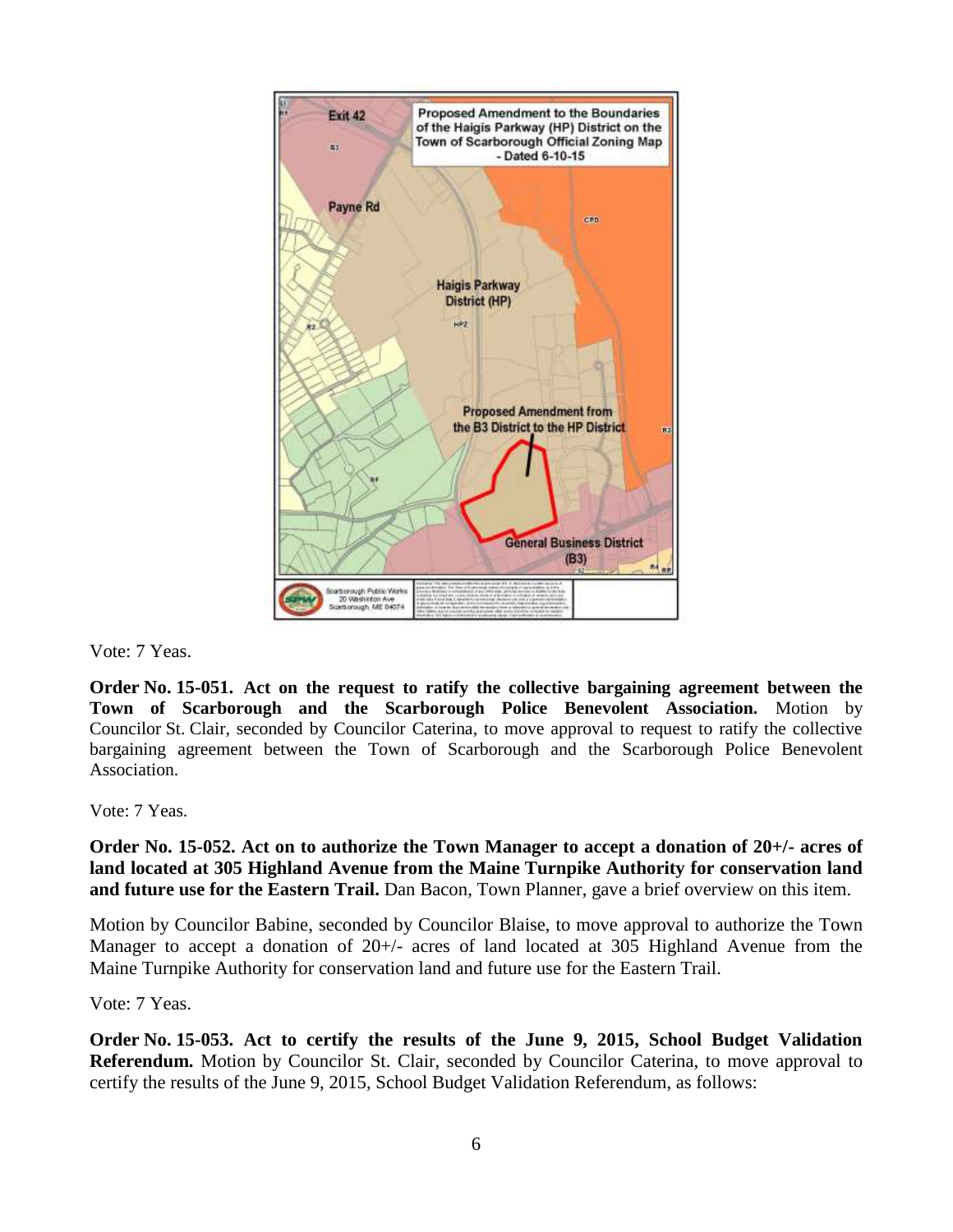

Vote: 7 Yeas.

**Order No. 15-051. Act on the request to ratify the collective bargaining agreement between the Town of Scarborough and the Scarborough Police Benevolent Association.** Motion by Councilor St. Clair, seconded by Councilor Caterina, to move approval to request to ratify the collective bargaining agreement between the Town of Scarborough and the Scarborough Police Benevolent Association.

Vote: 7 Yeas.

**Order No. 15-052. Act on to authorize the Town Manager to accept a donation of 20+/- acres of land located at 305 Highland Avenue from the Maine Turnpike Authority for conservation land and future use for the Eastern Trail.** Dan Bacon, Town Planner, gave a brief overview on this item.

Motion by Councilor Babine, seconded by Councilor Blaise, to move approval to authorize the Town Manager to accept a donation of 20+/- acres of land located at 305 Highland Avenue from the Maine Turnpike Authority for conservation land and future use for the Eastern Trail.

Vote: 7 Yeas.

**Order No. 15-053. Act to certify the results of the June 9, 2015, School Budget Validation Referendum.** Motion by Councilor St. Clair, seconded by Councilor Caterina, to move approval to certify the results of the June 9, 2015, School Budget Validation Referendum, as follows: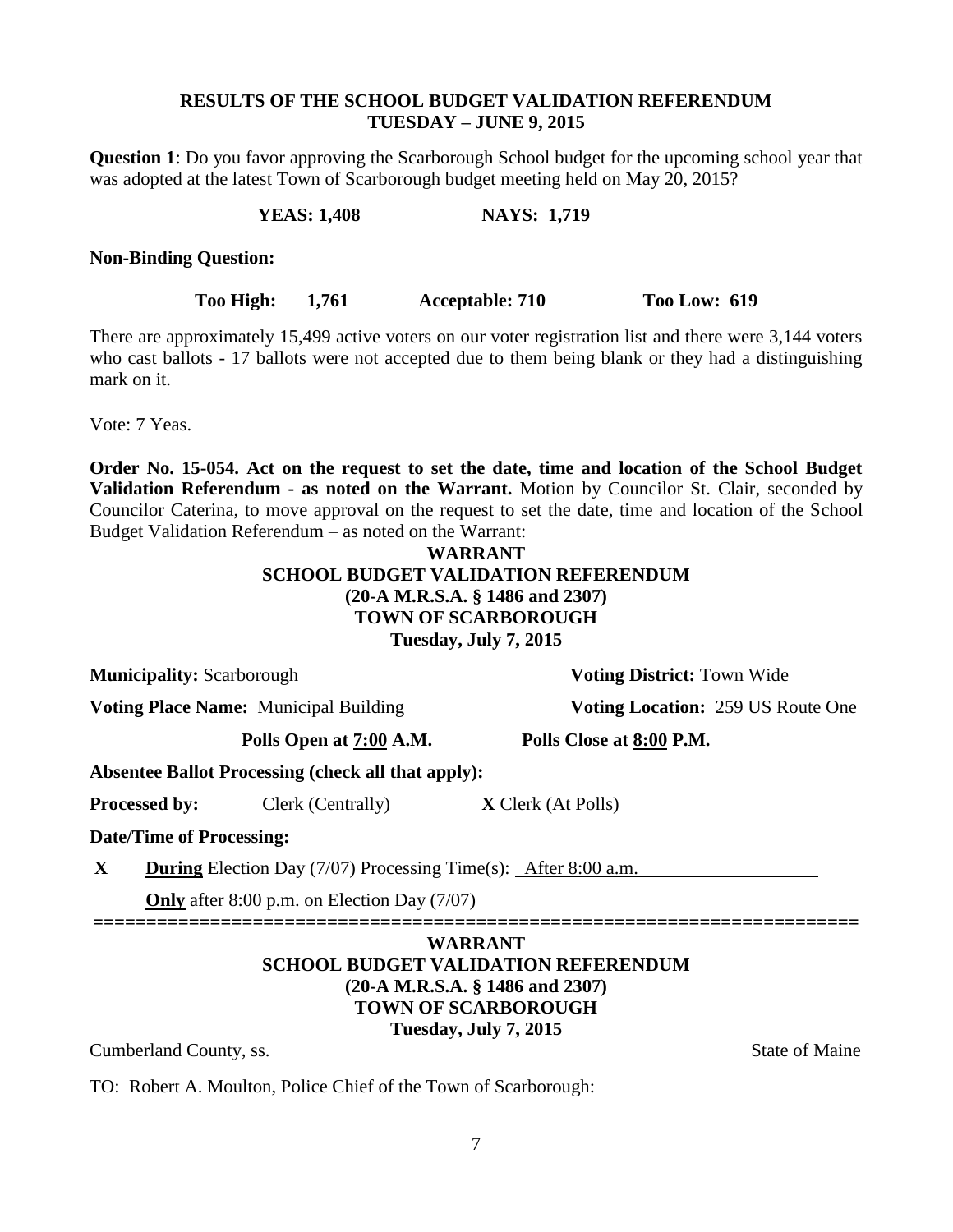### **RESULTS OF THE SCHOOL BUDGET VALIDATION REFERENDUM TUESDAY – JUNE 9, 2015**

**Question 1**: Do you favor approving the Scarborough School budget for the upcoming school year that was adopted at the latest Town of Scarborough budget meeting held on May 20, 2015?

**YEAS: 1,408 NAYS: 1,719** 

**Non-Binding Question:**

**Too High: 1,761 Acceptable: 710 Too Low: 619**

There are approximately 15,499 active voters on our voter registration list and there were 3,144 voters who cast ballots - 17 ballots were not accepted due to them being blank or they had a distinguishing mark on it.

Vote: 7 Yeas.

**Order No. 15-054. Act on the request to set the date, time and location of the School Budget Validation Referendum - as noted on the Warrant.** Motion by Councilor St. Clair, seconded by Councilor Caterina, to move approval on the request to set the date, time and location of the School Budget Validation Referendum – as noted on the Warrant:

### **WARRANT SCHOOL BUDGET VALIDATION REFERENDUM (20-A M.R.S.A. § 1486 and 2307) TOWN OF SCARBOROUGH Tuesday, July 7, 2015**

**Municipality:** Scarborough **Voting District:** Town Wide

**Voting Place Name:** Municipal Building **Voting Location:** 259 US Route One

**Polls Open at 7:00 A.M. Polls Close at 8:00 P.M.**

**Absentee Ballot Processing (check all that apply):**

**Processed by:** Clerk (Centrally) **X** Clerk (At Polls)

**Date/Time of Processing:**

**X During** Election Day (7/07) Processing Time(s): After 8:00 a.m.

**Only** after 8:00 p.m. on Election Day (7/07)

# **======================================================================== WARRANT SCHOOL BUDGET VALIDATION REFERENDUM (20-A M.R.S.A. § 1486 and 2307) TOWN OF SCARBOROUGH Tuesday, July 7, 2015**

Cumberland County, ss. State of Maine

TO: Robert A. Moulton, Police Chief of the Town of Scarborough: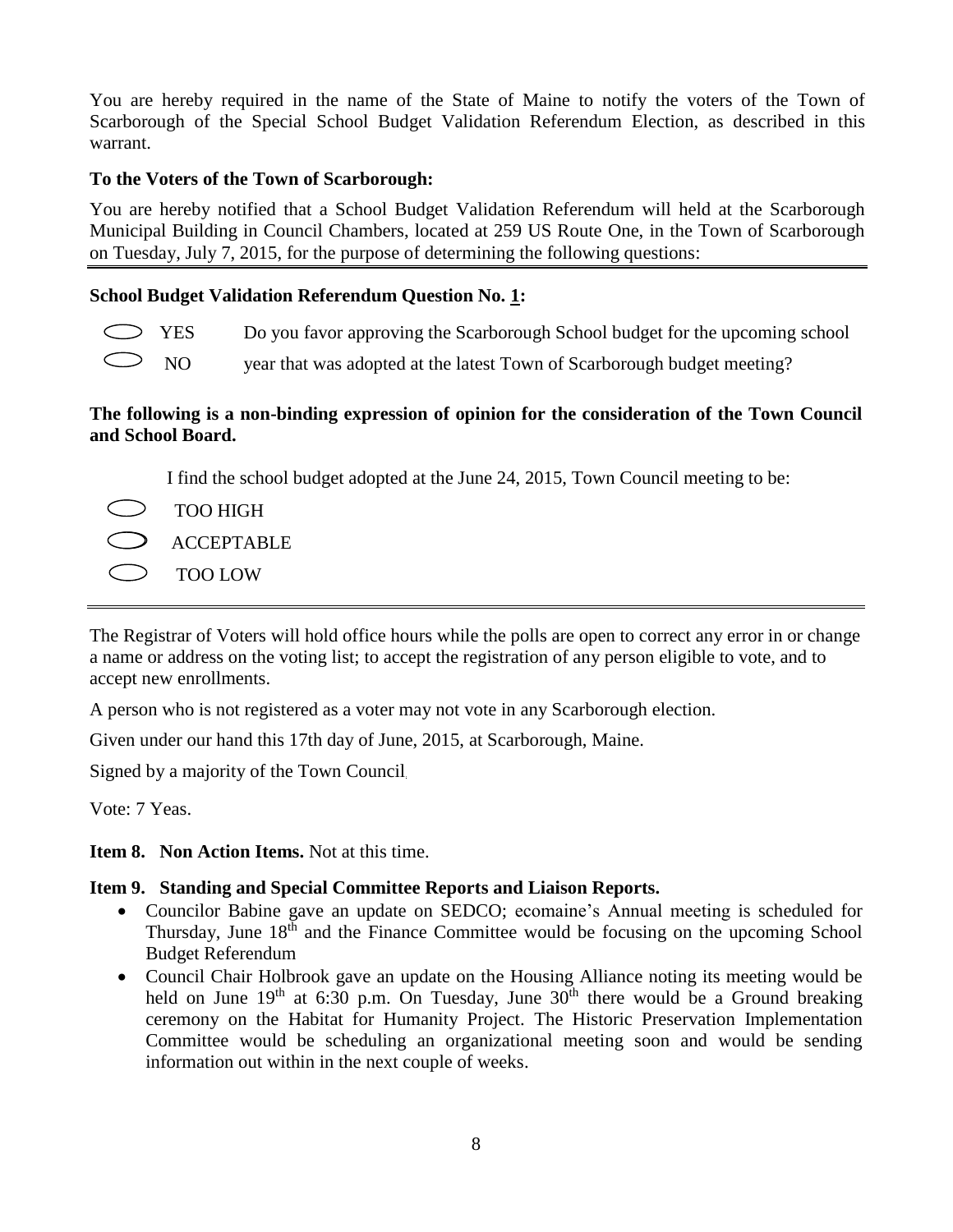You are hereby required in the name of the State of Maine to notify the voters of the Town of Scarborough of the Special School Budget Validation Referendum Election, as described in this warrant.

# **To the Voters of the Town of Scarborough:**

You are hereby notified that a School Budget Validation Referendum will held at the Scarborough Municipal Building in Council Chambers, located at 259 US Route One, in the Town of Scarborough on Tuesday, July 7, 2015, for the purpose of determining the following questions:

# **School Budget Validation Referendum Question No. 1:**

- YES Do you favor approving the Scarborough School budget for the upcoming school
	- NO year that was adopted at the latest Town of Scarborough budget meeting?

### **The following is a non-binding expression of opinion for the consideration of the Town Council and School Board.**

I find the school budget adopted at the June 24, 2015, Town Council meeting to be:

- TOO HIGH
- ACCEPTABLE
- TOO LOW

The Registrar of Voters will hold office hours while the polls are open to correct any error in or change a name or address on the voting list; to accept the registration of any person eligible to vote, and to accept new enrollments.

A person who is not registered as a voter may not vote in any Scarborough election.

Given under our hand this 17th day of June, 2015, at Scarborough, Maine.

Signed by a majority of the Town Council.

Vote: 7 Yeas.

**Item 8. Non Action Items.** Not at this time.

# **Item 9. Standing and Special Committee Reports and Liaison Reports.**

- Councilor Babine gave an update on SEDCO; ecomaine's Annual meeting is scheduled for Thursday, June  $18<sup>th</sup>$  and the Finance Committee would be focusing on the upcoming School Budget Referendum
- Council Chair Holbrook gave an update on the Housing Alliance noting its meeting would be held on June  $19<sup>th</sup>$  at 6:30 p.m. On Tuesday, June  $30<sup>th</sup>$  there would be a Ground breaking ceremony on the Habitat for Humanity Project. The Historic Preservation Implementation Committee would be scheduling an organizational meeting soon and would be sending information out within in the next couple of weeks.